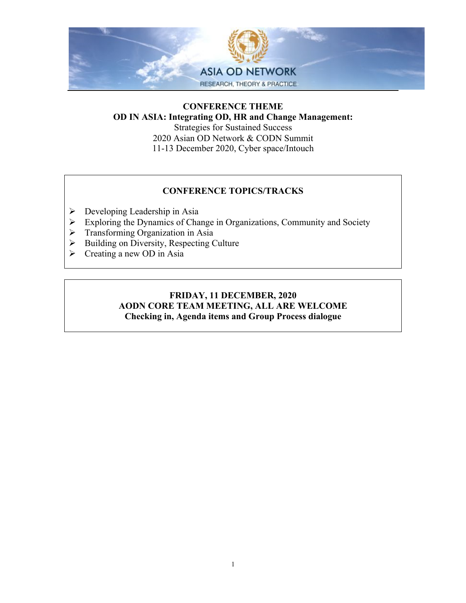

## **CONFERENCE THEME OD IN ASIA: Integrating OD, HR and Change Management:**

Strategies for Sustained Success 2020 Asian OD Network & CODN Summit 11-13 December 2020, Cyber space/Intouch

### **CONFERENCE TOPICS/TRACKS**

- $\triangleright$  Developing Leadership in Asia
- $\triangleright$  Exploring the Dynamics of Change in Organizations, Community and Society
- $\triangleright$  Transforming Organization in Asia
- $\triangleright$  Building on Diversity, Respecting Culture
- $\triangleright$  Creating a new OD in Asia

#### **FRIDAY, 11 DECEMBER, 2020 AODN CORE TEAM MEETING, ALL ARE WELCOME Checking in, Agenda items and Group Process dialogue**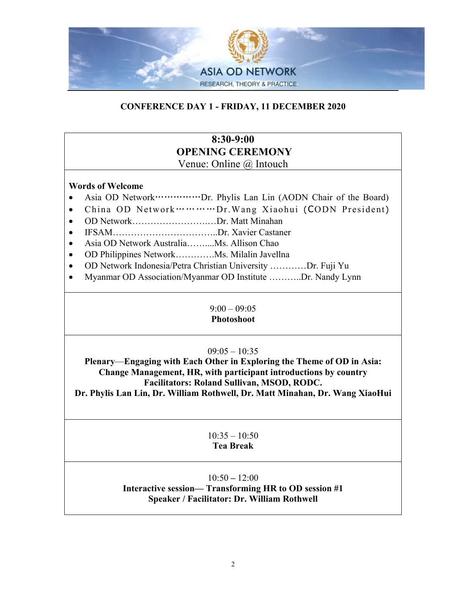

# **CONFERENCE DAY 1 - FRIDAY, 11 DECEMBER 2020**

## **8:30-9:00 OPENING CEREMONY** Venue: Online @ Intouch

#### **Words of Welcome**

- Asia OD Network……………Dr. Phylis Lan Lin (AODN Chair of the Board)
- China OD Network…………Dr.Wang Xiaohui (CODN President)
- OD Network…………………………Dr. Matt Minahan
- IFSAM……………………………..Dr. Xavier Castaner
- Asia OD Network Australia……....Ms. Allison Chao
- OD Philippines Network………….Ms. Milalin Javellna
- OD Network Indonesia/Petra Christian University …………Dr. Fuji Yu
- Myanmar OD Association/Myanmar OD Institute ..........Dr. Nandy Lynn

#### $9:00 - 09:05$ **Photoshoot**

## $09:05 - 10:35$

**Plenary**—**Engaging with Each Other in Exploring the Theme of OD in Asia: Change Management, HR, with participant introductions by country Facilitators: Roland Sullivan, MSOD, RODC.**

**Dr. Phylis Lan Lin, Dr. William Rothwell, Dr. Matt Minahan, Dr. Wang XiaoHui**

#### $10:35 - 10:50$ **Tea Break**

## 10:50 **–** 12:00

# **Interactive session— Transforming HR to OD session #1 Speaker / Facilitator: Dr. William Rothwell**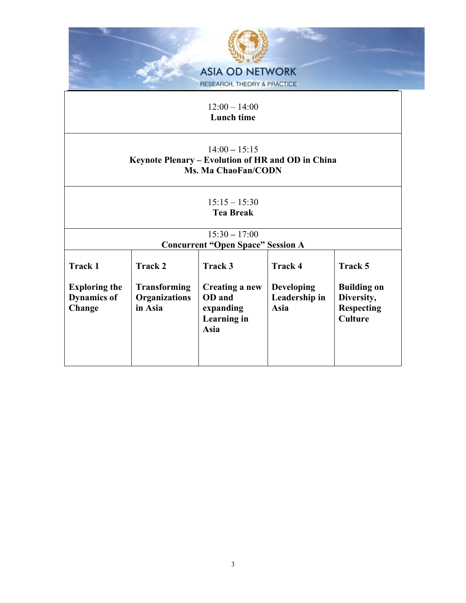|                                            |                                             | <b>ASIA OD NETWORK</b><br>RESEARCH, THEORY & PRACTICE                                              |                                    |                                  |
|--------------------------------------------|---------------------------------------------|----------------------------------------------------------------------------------------------------|------------------------------------|----------------------------------|
|                                            |                                             | $12:00 - 14:00$<br>Lunch time                                                                      |                                    |                                  |
|                                            |                                             | $14:00 - 15:15$<br>Keynote Plenary – Evolution of HR and OD in China<br><b>Ms. Ma ChaoFan/CODN</b> |                                    |                                  |
|                                            |                                             | $15:15 - 15:30$<br><b>Tea Break</b>                                                                |                                    |                                  |
|                                            |                                             | $15:30 - 17:00$<br><b>Concurrent "Open Space" Session A</b>                                        |                                    |                                  |
| <b>Track 1</b>                             | <b>Track 2</b>                              | Track 3                                                                                            | <b>Track 4</b>                     | Track 5                          |
| <b>Exploring the</b><br><b>Dynamics of</b> | <b>Transforming</b><br><b>Organizations</b> | Creating a new<br>OD and                                                                           | <b>Developing</b><br>Leadership in | <b>Building on</b><br>Diversity, |

**expanding Learning in**  **Asia**

**Diversity, Respecting Culture** 

**Asia** 

**Dynamics of Change**

**in Asia**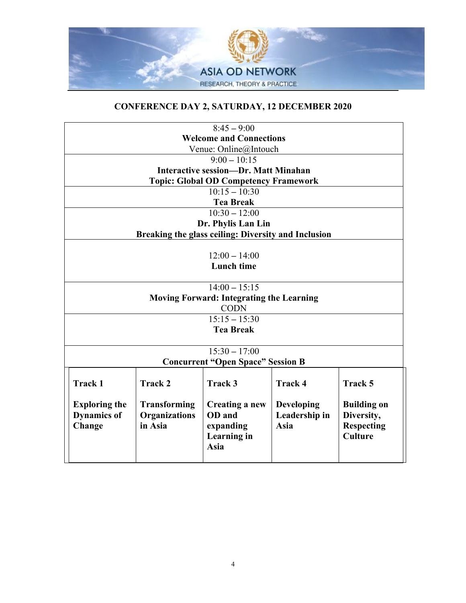

# **CONFERENCE DAY 2, SATURDAY, 12 DECEMBER 2020**

| $8:45 - 9:00$                                   |                      |                                                     |                |                    |
|-------------------------------------------------|----------------------|-----------------------------------------------------|----------------|--------------------|
| <b>Welcome and Connections</b>                  |                      |                                                     |                |                    |
|                                                 |                      | Venue: Online@Intouch                               |                |                    |
|                                                 |                      | $9:00 - 10:15$                                      |                |                    |
|                                                 |                      | <b>Interactive session-Dr. Matt Minahan</b>         |                |                    |
|                                                 |                      | <b>Topic: Global OD Competency Framework</b>        |                |                    |
|                                                 |                      | $10:15 - 10:30$                                     |                |                    |
|                                                 |                      | <b>Tea Break</b>                                    |                |                    |
|                                                 |                      | $10:30 - 12:00$                                     |                |                    |
|                                                 |                      | Dr. Phylis Lan Lin                                  |                |                    |
|                                                 |                      | Breaking the glass ceiling: Diversity and Inclusion |                |                    |
|                                                 |                      |                                                     |                |                    |
|                                                 |                      | $12:00 - 14:00$                                     |                |                    |
|                                                 |                      | <b>Lunch time</b>                                   |                |                    |
|                                                 |                      |                                                     |                |                    |
|                                                 |                      | $14:00 - 15:15$                                     |                |                    |
| <b>Moving Forward: Integrating the Learning</b> |                      |                                                     |                |                    |
| <b>CODN</b>                                     |                      |                                                     |                |                    |
| $15:15 - 15:30$                                 |                      |                                                     |                |                    |
| <b>Tea Break</b>                                |                      |                                                     |                |                    |
|                                                 |                      |                                                     |                |                    |
| $15:30 - 17:00$                                 |                      |                                                     |                |                    |
| <b>Concurrent "Open Space" Session B</b>        |                      |                                                     |                |                    |
| <b>Track 1</b>                                  | <b>Track 2</b>       | Track 3                                             | <b>Track 4</b> | <b>Track 5</b>     |
|                                                 |                      |                                                     |                |                    |
| <b>Exploring the</b>                            | <b>Transforming</b>  | Creating a new                                      | Developing     | <b>Building on</b> |
| <b>Dynamics of</b>                              | <b>Organizations</b> | OD and                                              | Leadership in  | Diversity,         |
| Change                                          | in Asia              | expanding                                           | <b>Asia</b>    | <b>Respecting</b>  |
|                                                 |                      | Learning in                                         |                | <b>Culture</b>     |
|                                                 |                      | <b>Asia</b>                                         |                |                    |
|                                                 |                      |                                                     |                |                    |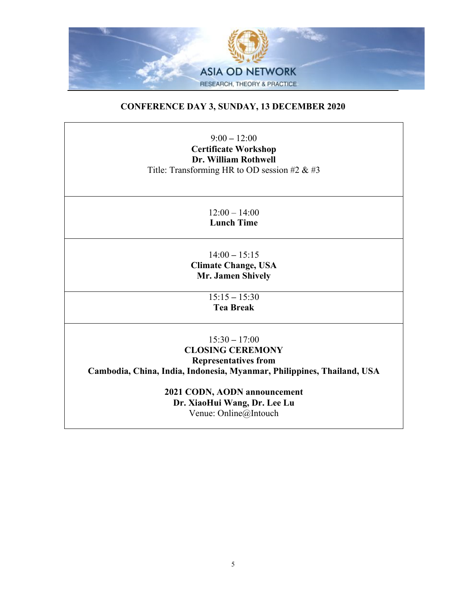

# **CONFERENCE DAY 3, SUNDAY, 13 DECEMBER 2020**

9:00 **–** 12:00 **Certificate Workshop Dr. William Rothwell** Title: Transforming HR to OD session #2 & #3

> $12:00 - 14:00$ **Lunch Time**

14:00 **–** 15:15 **Climate Change, USA Mr. Jamen Shively**

> 15:15 **–** 15:30 **Tea Break**

15:30 **–** 17:00 **CLOSING CEREMONY Representatives from Cambodia, China, India, Indonesia, Myanmar, Philippines, Thailand, USA**

> **2021 CODN, AODN announcement Dr. XiaoHui Wang, Dr. Lee Lu** Venue: Online@Intouch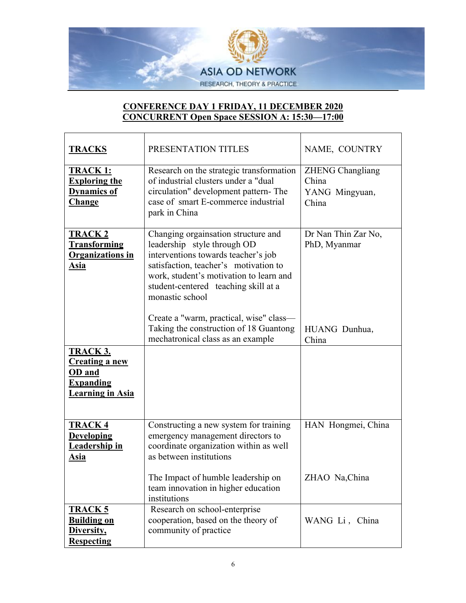

# **CONFERENCE DAY 1 FRIDAY, 11 DECEMBER 2020 CONCURRENT Open Space SESSION A: 15:30—17:00**

| <b>TRACKS</b>                                                                                     | PRESENTATION TITLES                                                                                                                                                                                                                                                                                 | NAME, COUNTRY                                               |
|---------------------------------------------------------------------------------------------------|-----------------------------------------------------------------------------------------------------------------------------------------------------------------------------------------------------------------------------------------------------------------------------------------------------|-------------------------------------------------------------|
| <b>TRACK 1:</b><br><b>Exploring the</b><br><b>Dynamics of</b><br><b>Change</b>                    | Research on the strategic transformation<br>of industrial clusters under a "dual<br>circulation" development pattern-The<br>case of smart E-commerce industrial<br>park in China                                                                                                                    | <b>ZHENG Changliang</b><br>China<br>YANG Mingyuan,<br>China |
| <b>TRACK2</b><br><b>Transforming</b><br><b>Organizations in</b><br><b>Asia</b>                    | Changing orgainsation structure and<br>leadership style through OD<br>interventions towards teacher's job<br>satisfaction, teacher's motivation to<br>work, student's motivation to learn and<br>student-centered teaching skill at a<br>monastic school<br>Create a "warm, practical, wise" class- | Dr Nan Thin Zar No,<br>PhD, Myanmar                         |
|                                                                                                   | Taking the construction of 18 Guantong<br>mechatronical class as an example                                                                                                                                                                                                                         | HUANG Dunhua,<br>China                                      |
| <b>TRACK 3.</b><br><b>Creating a new</b><br>OD and<br><b>Expanding</b><br><b>Learning in Asia</b> |                                                                                                                                                                                                                                                                                                     |                                                             |
| <b>TRACK4</b><br><b>Developing</b><br><b>Leadership in</b><br><u>Asia</u>                         | Constructing a new system for training<br>emergency management directors to<br>coordinate organization within as well<br>as between institutions                                                                                                                                                    | HAN Hongmei, China                                          |
|                                                                                                   | The Impact of humble leadership on<br>team innovation in higher education<br>institutions                                                                                                                                                                                                           | ZHAO Na,China                                               |
| <b>TRACK 5</b><br><b>Building on</b><br>Diversity,<br><b>Respecting</b>                           | Research on school-enterprise<br>cooperation, based on the theory of<br>community of practice                                                                                                                                                                                                       | WANG Li, China                                              |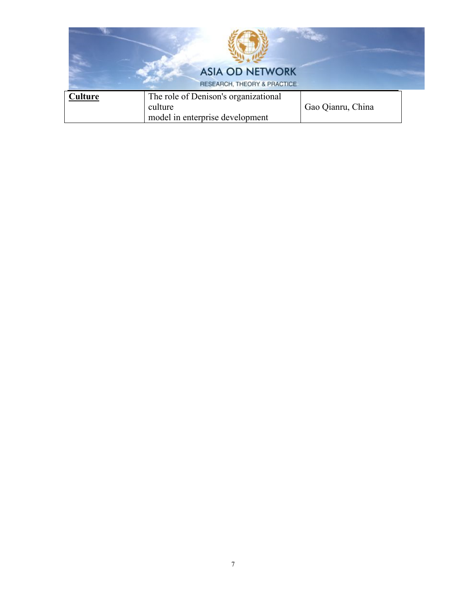|         | <b>ASIA OD NETWORK</b><br>RESEARCH, THEORY & PRACTICE                              |                   |
|---------|------------------------------------------------------------------------------------|-------------------|
| Culture | The role of Denison's organizational<br>culture<br>model in enterprise development | Gao Qianru, China |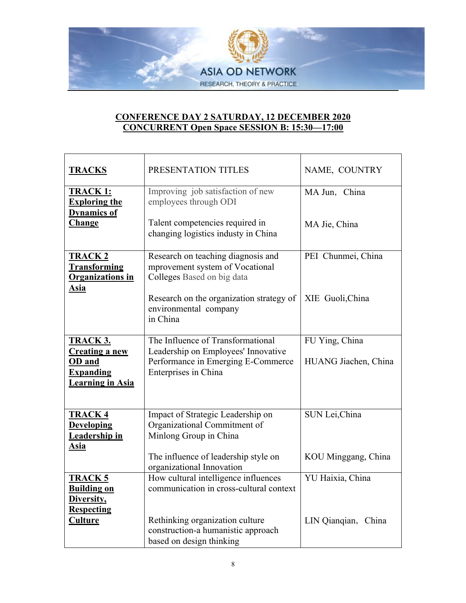

# **CONFERENCE DAY 2 SATURDAY, 12 DECEMBER 2020 CONCURRENT Open Space SESSION B: 15:30—17:00**

| <b>TRACKS</b>                                                           | PRESENTATION TITLES                                                                                 | NAME, COUNTRY        |
|-------------------------------------------------------------------------|-----------------------------------------------------------------------------------------------------|----------------------|
| <b>TRACK 1:</b><br><b>Exploring the</b><br><b>Dynamics of</b>           | Improving job satisfaction of new<br>employees through ODI                                          | MA Jun, China        |
| <b>Change</b>                                                           | Talent competencies required in<br>changing logistics industy in China                              | MA Jie, China        |
| <b>TRACK2</b><br><b>Transforming</b><br><b>Organizations in</b><br>Asia | Research on teaching diagnosis and<br>mprovement system of Vocational<br>Colleges Based on big data | PEI Chunmei, China   |
|                                                                         | Research on the organization strategy of<br>environmental company<br>in China                       | XIE Guoli, China     |
| <b>TRACK 3.</b>                                                         | The Influence of Transformational                                                                   | FU Ying, China       |
| <b>Creating a new</b><br>OD and                                         | Leadership on Employees' Innovative<br>Performance in Emerging E-Commerce                           | HUANG Jiachen, China |
| <b>Expanding</b><br><b>Learning in Asia</b>                             | Enterprises in China                                                                                |                      |
| <b>TRACK 4</b>                                                          | Impact of Strategic Leadership on                                                                   | SUN Lei, China       |
| <b>Developing</b><br><b>Leadership in</b>                               | Organizational Commitment of<br>Minlong Group in China                                              |                      |
| <u>Asia</u>                                                             |                                                                                                     |                      |
|                                                                         | The influence of leadership style on<br>organizational Innovation                                   | KOU Minggang, China  |
| <b>TRACK 5</b>                                                          | How cultural intelligence influences                                                                | YU Haixia, China     |
| <b>Building on</b><br>Diversity,<br><b>Respecting</b>                   | communication in cross-cultural context                                                             |                      |
| <u>Culture</u>                                                          | Rethinking organization culture                                                                     | LIN Qianqian, China  |
|                                                                         | construction-a humanistic approach                                                                  |                      |
|                                                                         | based on design thinking                                                                            |                      |